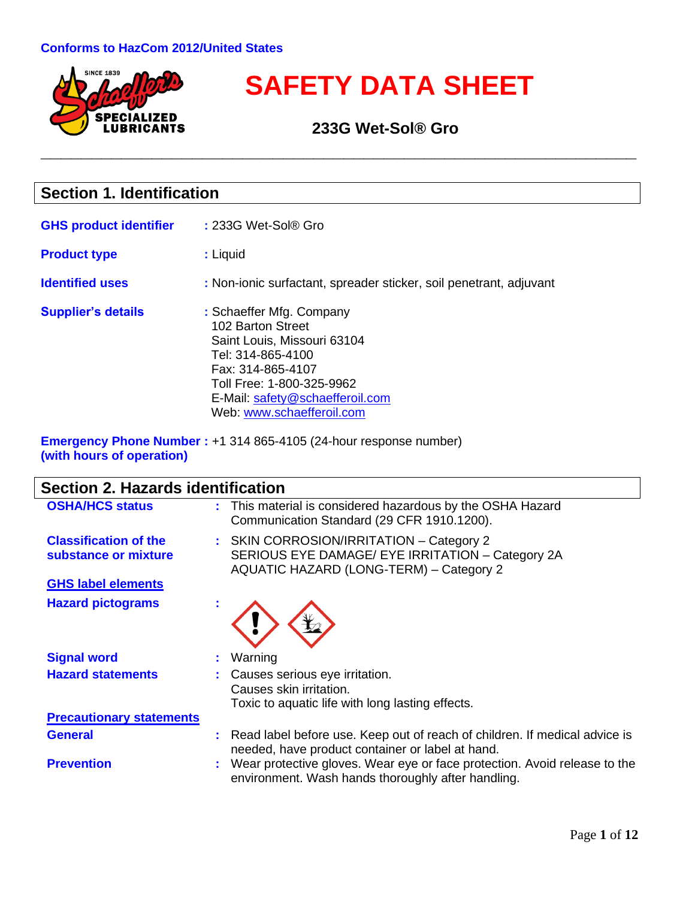

# **SAFETY DATA SHEET**

 **233G Wet-Sol® Gro**

**\_\_\_\_\_\_\_\_\_\_\_\_\_\_\_\_\_\_\_\_\_\_\_\_\_\_\_\_\_\_\_\_\_\_\_\_\_\_\_\_\_\_\_\_\_\_\_\_\_\_\_\_\_\_\_\_\_\_\_**

### **Section 1. Identification**

| <b>GHS product identifier</b> | : 233G Wet-Sol® Gro                                                                                                                                                                                                 |
|-------------------------------|---------------------------------------------------------------------------------------------------------------------------------------------------------------------------------------------------------------------|
| <b>Product type</b>           | : Liquid                                                                                                                                                                                                            |
| <b>Identified uses</b>        | : Non-ionic surfactant, spreader sticker, soil penetrant, adjuvant                                                                                                                                                  |
| <b>Supplier's details</b>     | : Schaeffer Mfg. Company<br>102 Barton Street<br>Saint Louis, Missouri 63104<br>Tel: 314-865-4100<br>Fax: 314-865-4107<br>Toll Free: 1-800-325-9962<br>E-Mail: safety@schaefferoil.com<br>Web: www.schaefferoil.com |

**Emergency Phone Number :** +1 314 865-4105 (24-hour response number) **(with hours of operation)**

| Section 2. Hazards identification                    |                                                                                                                                         |
|------------------------------------------------------|-----------------------------------------------------------------------------------------------------------------------------------------|
| <b>OSHA/HCS status</b>                               | : This material is considered hazardous by the OSHA Hazard<br>Communication Standard (29 CFR 1910.1200).                                |
| <b>Classification of the</b><br>substance or mixture | : SKIN CORROSION/IRRITATION - Category 2<br>SERIOUS EYE DAMAGE/ EYE IRRITATION - Category 2A<br>AQUATIC HAZARD (LONG-TERM) - Category 2 |
| <b>GHS label elements</b>                            |                                                                                                                                         |
| <b>Hazard pictograms</b>                             |                                                                                                                                         |
| <b>Signal word</b>                                   | Warning                                                                                                                                 |
| <b>Hazard statements</b>                             | Causes serious eye irritation.<br>Causes skin irritation.<br>Toxic to aquatic life with long lasting effects.                           |
| <b>Precautionary statements</b>                      |                                                                                                                                         |
| <b>General</b>                                       | Read label before use. Keep out of reach of children. If medical advice is<br>needed, have product container or label at hand.          |
| <b>Prevention</b>                                    | : Wear protective gloves. Wear eye or face protection. Avoid release to the<br>environment. Wash hands thoroughly after handling.       |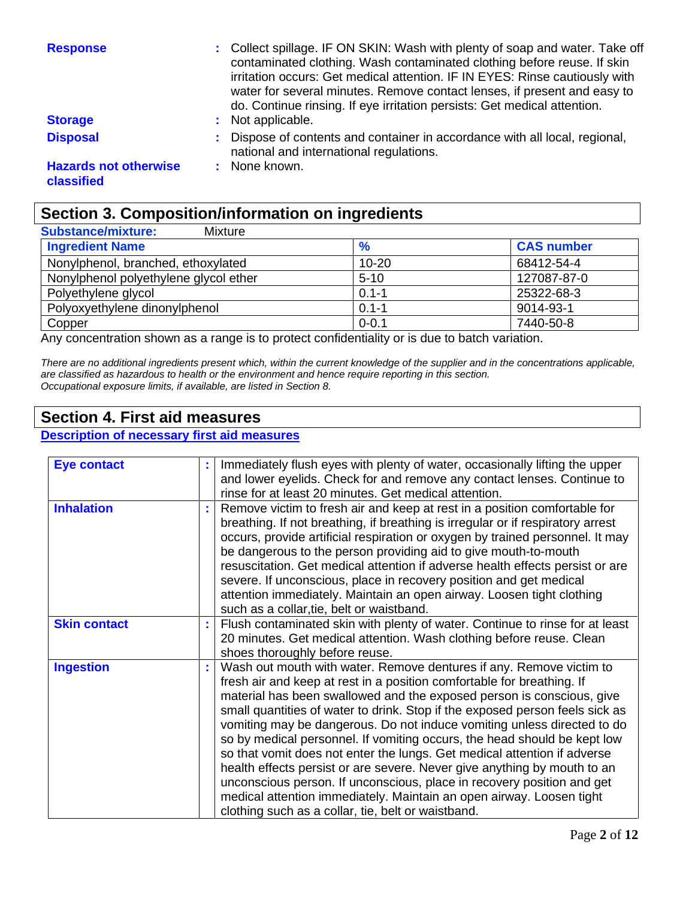| <b>Response</b>                            | : Collect spillage. IF ON SKIN: Wash with plenty of soap and water. Take off<br>contaminated clothing. Wash contaminated clothing before reuse. If skin<br>irritation occurs: Get medical attention. IF IN EYES: Rinse cautiously with<br>water for several minutes. Remove contact lenses, if present and easy to<br>do. Continue rinsing. If eye irritation persists: Get medical attention. |
|--------------------------------------------|------------------------------------------------------------------------------------------------------------------------------------------------------------------------------------------------------------------------------------------------------------------------------------------------------------------------------------------------------------------------------------------------|
| <b>Storage</b>                             | : Not applicable.                                                                                                                                                                                                                                                                                                                                                                              |
| <b>Disposal</b>                            | Dispose of contents and container in accordance with all local, regional,<br>national and international regulations.                                                                                                                                                                                                                                                                           |
| <b>Hazards not otherwise</b><br>classified | None known.                                                                                                                                                                                                                                                                                                                                                                                    |

### **Section 3. Composition/information on ingredients**

| <b>Substance/mixture:</b><br>Mixture  |               |                   |
|---------------------------------------|---------------|-------------------|
| <b>Ingredient Name</b>                | $\frac{9}{6}$ | <b>CAS number</b> |
| Nonylphenol, branched, ethoxylated    | $10 - 20$     | 68412-54-4        |
| Nonylphenol polyethylene glycol ether | $5 - 10$      | 127087-87-0       |
| Polyethylene glycol                   | $0.1 - 1$     | 25322-68-3        |
| Polyoxyethylene dinonylphenol         | $0.1 - 1$     | 9014-93-1         |
| Copper                                | $0 - 0.1$     | 7440-50-8         |

Any concentration shown as a range is to protect confidentiality or is due to batch variation.

*There are no additional ingredients present which, within the current knowledge of the supplier and in the concentrations applicable, are classified as hazardous to health or the environment and hence require reporting in this section. Occupational exposure limits, if available, are listed in Section 8.*

### **Section 4. First aid measures**

#### **Description of necessary first aid measures**

| <b>Eye contact</b>  | Immediately flush eyes with plenty of water, occasionally lifting the upper<br>and lower eyelids. Check for and remove any contact lenses. Continue to<br>rinse for at least 20 minutes. Get medical attention.                                                                                                                                                                                                                                                                                                                                                                                                                                                                                                                                                                                                               |
|---------------------|-------------------------------------------------------------------------------------------------------------------------------------------------------------------------------------------------------------------------------------------------------------------------------------------------------------------------------------------------------------------------------------------------------------------------------------------------------------------------------------------------------------------------------------------------------------------------------------------------------------------------------------------------------------------------------------------------------------------------------------------------------------------------------------------------------------------------------|
| <b>Inhalation</b>   | Remove victim to fresh air and keep at rest in a position comfortable for<br>breathing. If not breathing, if breathing is irregular or if respiratory arrest<br>occurs, provide artificial respiration or oxygen by trained personnel. It may<br>be dangerous to the person providing aid to give mouth-to-mouth<br>resuscitation. Get medical attention if adverse health effects persist or are<br>severe. If unconscious, place in recovery position and get medical<br>attention immediately. Maintain an open airway. Loosen tight clothing<br>such as a collar, tie, belt or waistband.                                                                                                                                                                                                                                 |
| <b>Skin contact</b> | Flush contaminated skin with plenty of water. Continue to rinse for at least<br>20 minutes. Get medical attention. Wash clothing before reuse. Clean<br>shoes thoroughly before reuse.                                                                                                                                                                                                                                                                                                                                                                                                                                                                                                                                                                                                                                        |
| <b>Ingestion</b>    | Wash out mouth with water. Remove dentures if any. Remove victim to<br>fresh air and keep at rest in a position comfortable for breathing. If<br>material has been swallowed and the exposed person is conscious, give<br>small quantities of water to drink. Stop if the exposed person feels sick as<br>vomiting may be dangerous. Do not induce vomiting unless directed to do<br>so by medical personnel. If vomiting occurs, the head should be kept low<br>so that vomit does not enter the lungs. Get medical attention if adverse<br>health effects persist or are severe. Never give anything by mouth to an<br>unconscious person. If unconscious, place in recovery position and get<br>medical attention immediately. Maintain an open airway. Loosen tight<br>clothing such as a collar, tie, belt or waistband. |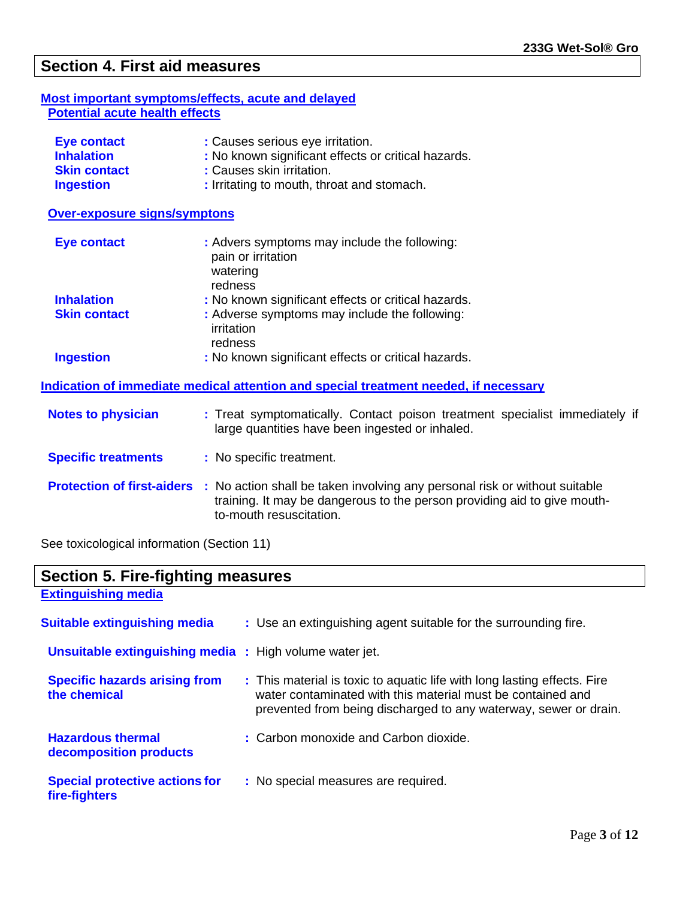### **Section 4. First aid measures**

#### **Most important symptoms/effects, acute and delayed Potential acute health effects**

| <b>Eye contact</b>  | : Causes serious eye irritation.                    |
|---------------------|-----------------------------------------------------|
| <b>Inhalation</b>   | : No known significant effects or critical hazards. |
| <b>Skin contact</b> | : Causes skin irritation.                           |
| <b>Ingestion</b>    | : Irritating to mouth, throat and stomach.          |

 **Over-exposure signs/symptons**

| <b>Eye contact</b>  | : Advers symptoms may include the following:<br>pain or irritation<br>watering<br>redness |
|---------------------|-------------------------------------------------------------------------------------------|
| <b>Inhalation</b>   | : No known significant effects or critical hazards.                                       |
| <b>Skin contact</b> | : Adverse symptoms may include the following:<br>irritation<br>redness                    |
| <b>Ingestion</b>    | : No known significant effects or critical hazards.                                       |

**Indication of immediate medical attention and special treatment needed, if necessary**

| <b>Notes to physician</b>  | : Treat symptomatically. Contact poison treatment specialist immediately if<br>large quantities have been ingested or inhaled.                                                                                      |
|----------------------------|---------------------------------------------------------------------------------------------------------------------------------------------------------------------------------------------------------------------|
| <b>Specific treatments</b> | : No specific treatment.                                                                                                                                                                                            |
|                            | <b>Protection of first-aiders</b> : No action shall be taken involving any personal risk or without suitable<br>training. It may be dangerous to the person providing aid to give mouth-<br>to-mouth resuscitation. |

See toxicological information (Section 11)

| <b>Section 5. Fire-fighting measures</b>                       |                                                                                                                                                                                                             |  |
|----------------------------------------------------------------|-------------------------------------------------------------------------------------------------------------------------------------------------------------------------------------------------------------|--|
| <b>Extinguishing media</b>                                     |                                                                                                                                                                                                             |  |
| <b>Suitable extinguishing media</b>                            | : Use an extinguishing agent suitable for the surrounding fire.                                                                                                                                             |  |
| <b>Unsuitable extinguishing media : High volume water jet.</b> |                                                                                                                                                                                                             |  |
| <b>Specific hazards arising from</b><br>the chemical           | : This material is toxic to aquatic life with long lasting effects. Fire<br>water contaminated with this material must be contained and<br>prevented from being discharged to any waterway, sewer or drain. |  |
| <b>Hazardous thermal</b><br>decomposition products             | : Carbon monoxide and Carbon dioxide.                                                                                                                                                                       |  |
| <b>Special protective actions for</b><br>fire-fighters         | : No special measures are required.                                                                                                                                                                         |  |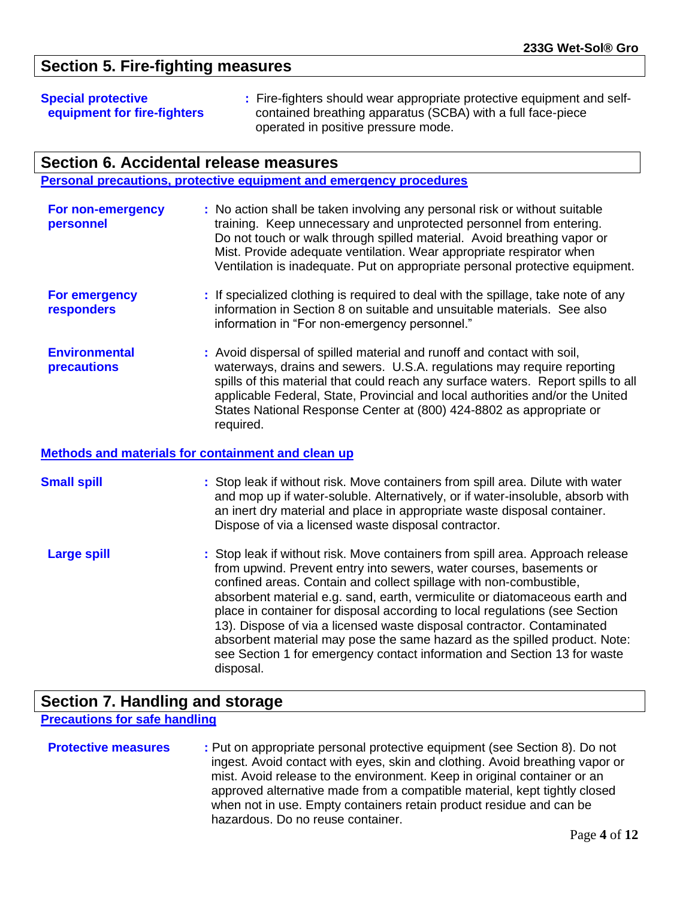### **Section 5. Fire-fighting measures**

**Special protective : Fire-fighters should wear appropriate protective equipment and selfequipment for fire-fighters** contained breathing apparatus (SCBA) with a full face-piece operated in positive pressure mode.

#### **Section 6. Accidental release measures**

**Personal precautions, protective equipment and emergency procedures**

| For non-emergency | : No action shall be taken involving any personal risk or without suitable   |
|-------------------|------------------------------------------------------------------------------|
| personnel         | training. Keep unnecessary and unprotected personnel from entering.          |
|                   | Do not touch or walk through spilled material. Avoid breathing vapor or      |
|                   | Mist. Provide adequate ventilation. Wear appropriate respirator when         |
|                   | Ventilation is inadequate. Put on appropriate personal protective equipment. |
|                   |                                                                              |

- **For emergency :** If specialized clothing is required to deal with the spillage, take note of any  **responders** information in Section 8 on suitable and unsuitable materials. See also information in "For non-emergency personnel."
- **Environmental :** Avoid dispersal of spilled material and runoff and contact with soil, **precautions waterways, drains and sewers. U.S.A. regulations may require reporting**  spills of this material that could reach any surface waters. Report spills to all applicable Federal, State, Provincial and local authorities and/or the United States National Response Center at (800) 424-8802 as appropriate or required.

#### **Methods and materials for containment and clean up**

| <b>Small spill</b> | : Stop leak if without risk. Move containers from spill area. Dilute with water<br>and mop up if water-soluble. Alternatively, or if water-insoluble, absorb with<br>an inert dry material and place in appropriate waste disposal container.<br>Dispose of via a licensed waste disposal contractor.                                                                                                                                                                                                                                                                                                                                    |
|--------------------|------------------------------------------------------------------------------------------------------------------------------------------------------------------------------------------------------------------------------------------------------------------------------------------------------------------------------------------------------------------------------------------------------------------------------------------------------------------------------------------------------------------------------------------------------------------------------------------------------------------------------------------|
| <b>Large spill</b> | : Stop leak if without risk. Move containers from spill area. Approach release<br>from upwind. Prevent entry into sewers, water courses, basements or<br>confined areas. Contain and collect spillage with non-combustible,<br>absorbent material e.g. sand, earth, vermiculite or diatomaceous earth and<br>place in container for disposal according to local regulations (see Section<br>13). Dispose of via a licensed waste disposal contractor. Contaminated<br>absorbent material may pose the same hazard as the spilled product. Note:<br>see Section 1 for emergency contact information and Section 13 for waste<br>disposal. |

### **Section 7. Handling and storage**

**Precautions for safe handling**

| <b>Protective measures</b> | : Put on appropriate personal protective equipment (see Section 8). Do not   |
|----------------------------|------------------------------------------------------------------------------|
|                            | ingest. Avoid contact with eyes, skin and clothing. Avoid breathing vapor or |
|                            | mist. Avoid release to the environment. Keep in original container or an     |
|                            | approved alternative made from a compatible material, kept tightly closed    |
|                            | when not in use. Empty containers retain product residue and can be          |
|                            | hazardous. Do no reuse container.                                            |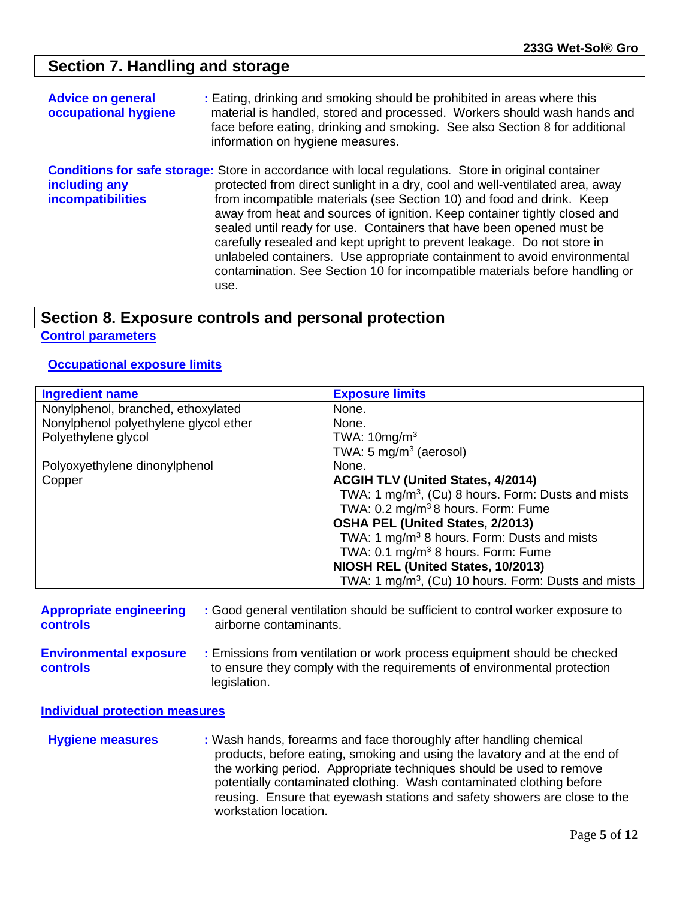### **Section 7. Handling and storage**

| <b>Advice on general</b><br>occupational hygiene | : Eating, drinking and smoking should be prohibited in areas where this<br>material is handled, stored and processed. Workers should wash hands and<br>face before eating, drinking and smoking. See also Section 8 for additional<br>information on hygiene measures.                                                                                                                                                                                                                                                                                                                                                                                                  |
|--------------------------------------------------|-------------------------------------------------------------------------------------------------------------------------------------------------------------------------------------------------------------------------------------------------------------------------------------------------------------------------------------------------------------------------------------------------------------------------------------------------------------------------------------------------------------------------------------------------------------------------------------------------------------------------------------------------------------------------|
| including any<br>incompatibilities               | <b>Conditions for safe storage:</b> Store in accordance with local regulations. Store in original container<br>protected from direct sunlight in a dry, cool and well-ventilated area, away<br>from incompatible materials (see Section 10) and food and drink. Keep<br>away from heat and sources of ignition. Keep container tightly closed and<br>sealed until ready for use. Containers that have been opened must be<br>carefully resealed and kept upright to prevent leakage. Do not store in<br>unlabeled containers. Use appropriate containment to avoid environmental<br>contamination. See Section 10 for incompatible materials before handling or<br>use. |

### **Section 8. Exposure controls and personal protection**

#### **Control parameters**

#### **Occupational exposure limits**

| <b>Ingredient name</b>                | <b>Exposure limits</b>                                          |
|---------------------------------------|-----------------------------------------------------------------|
| Nonylphenol, branched, ethoxylated    | None.                                                           |
| Nonylphenol polyethylene glycol ether | None.                                                           |
| Polyethylene glycol                   | TWA: $10mg/m3$                                                  |
|                                       | TWA: 5 mg/m <sup>3</sup> (aerosol)                              |
| Polyoxyethylene dinonylphenol         | None.                                                           |
| Copper                                | <b>ACGIH TLV (United States, 4/2014)</b>                        |
|                                       | TWA: 1 mg/m <sup>3</sup> , (Cu) 8 hours. Form: Dusts and mists  |
|                                       | TWA: 0.2 mg/m <sup>3</sup> 8 hours. Form: Fume                  |
|                                       | OSHA PEL (United States, 2/2013)                                |
|                                       | TWA: 1 mg/m <sup>3</sup> 8 hours. Form: Dusts and mists         |
|                                       | TWA: $0.1 \text{ mg/m}^3$ 8 hours. Form: Fume                   |
|                                       | NIOSH REL (United States, 10/2013)                              |
|                                       | TWA: 1 mg/m <sup>3</sup> , (Cu) 10 hours. Form: Dusts and mists |

| <b>Appropriate engineering</b>                   | : Good general ventilation should be sufficient to control worker exposure to                                                                                       |
|--------------------------------------------------|---------------------------------------------------------------------------------------------------------------------------------------------------------------------|
| <b>controls</b>                                  | airborne contaminants.                                                                                                                                              |
| <b>Environmental exposure</b><br><b>controls</b> | : Emissions from ventilation or work process equipment should be checked<br>to ensure they comply with the requirements of environmental protection<br>legislation. |

**Individual protection measures**

**Hygiene measures : Wash hands, forearms and face thoroughly after handling chemical**  products, before eating, smoking and using the lavatory and at the end of the working period. Appropriate techniques should be used to remove potentially contaminated clothing. Wash contaminated clothing before reusing. Ensure that eyewash stations and safety showers are close to the workstation location.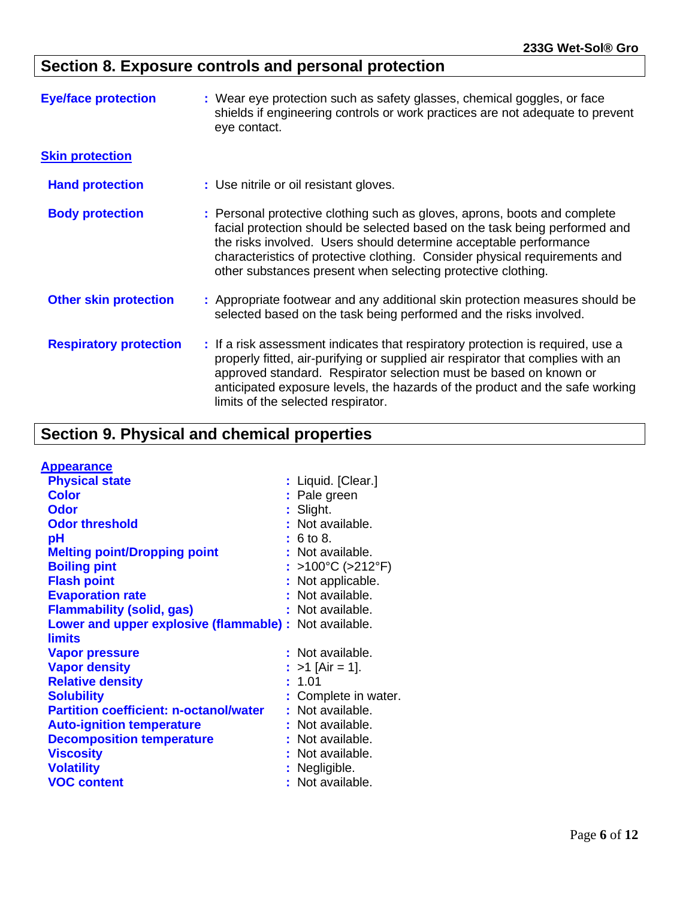## **Section 8. Exposure controls and personal protection**

| <b>Eye/face protection</b>    | : Wear eye protection such as safety glasses, chemical goggles, or face<br>shields if engineering controls or work practices are not adequate to prevent<br>eye contact.                                                                                                                                                                                                   |  |
|-------------------------------|----------------------------------------------------------------------------------------------------------------------------------------------------------------------------------------------------------------------------------------------------------------------------------------------------------------------------------------------------------------------------|--|
| <b>Skin protection</b>        |                                                                                                                                                                                                                                                                                                                                                                            |  |
| <b>Hand protection</b>        | : Use nitrile or oil resistant gloves.                                                                                                                                                                                                                                                                                                                                     |  |
| <b>Body protection</b>        | : Personal protective clothing such as gloves, aprons, boots and complete<br>facial protection should be selected based on the task being performed and<br>the risks involved. Users should determine acceptable performance<br>characteristics of protective clothing. Consider physical requirements and<br>other substances present when selecting protective clothing. |  |
| <b>Other skin protection</b>  | : Appropriate footwear and any additional skin protection measures should be<br>selected based on the task being performed and the risks involved.                                                                                                                                                                                                                         |  |
| <b>Respiratory protection</b> | : If a risk assessment indicates that respiratory protection is required, use a<br>properly fitted, air-purifying or supplied air respirator that complies with an<br>approved standard. Respirator selection must be based on known or<br>anticipated exposure levels, the hazards of the product and the safe working<br>limits of the selected respirator.              |  |

## **Section 9. Physical and chemical properties**

| <b>Appearance</b>                             |                      |
|-----------------------------------------------|----------------------|
| <b>Physical state</b>                         | : Liquid. [Clear.]   |
| <b>Color</b>                                  | : Pale green         |
| <b>Odor</b>                                   | : Slight.            |
| <b>Odor threshold</b>                         | : Not available.     |
| рH                                            | : 6 to 8.            |
| <b>Melting point/Dropping point</b>           | : Not available.     |
| <b>Boiling pint</b>                           | : >100°C (>212°F)    |
| <b>Flash point</b>                            | : Not applicable.    |
| <b>Evaporation rate</b>                       | : Not available.     |
| <b>Flammability (solid, gas)</b>              | : Not available.     |
| Lower and upper explosive (flammable) :       | Not available.       |
| <b>limits</b>                                 |                      |
| <b>Vapor pressure</b>                         | : Not available.     |
| <b>Vapor density</b>                          | : >1 [Air = 1].      |
| <b>Relative density</b>                       | : 1.01               |
| <b>Solubility</b>                             | : Complete in water. |
| <b>Partition coefficient: n-octanol/water</b> | : Not available.     |
| <b>Auto-ignition temperature</b>              | : Not available.     |
| <b>Decomposition temperature</b>              | : Not available.     |
| <b>Viscosity</b>                              | : Not available.     |
| <b>Volatility</b>                             | : Negligible.        |
| <b>VOC content</b>                            | : Not available.     |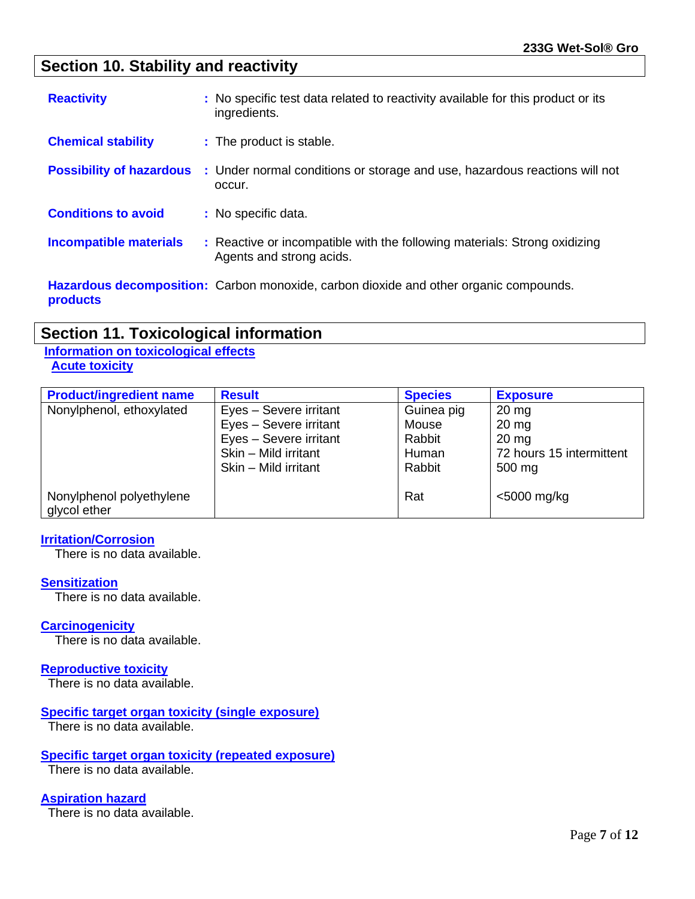### **Section 10. Stability and reactivity**

| <b>Reactivity</b>               | : No specific test data related to reactivity available for this product or its<br>ingredients.       |
|---------------------------------|-------------------------------------------------------------------------------------------------------|
| <b>Chemical stability</b>       | : The product is stable.                                                                              |
| <b>Possibility of hazardous</b> | : Under normal conditions or storage and use, hazardous reactions will not<br>occur.                  |
| <b>Conditions to avoid</b>      | : No specific data.                                                                                   |
| <b>Incompatible materials</b>   | : Reactive or incompatible with the following materials: Strong oxidizing<br>Agents and strong acids. |
| products                        | <b>Hazardous decomposition:</b> Carbon monoxide, carbon dioxide and other organic compounds.          |

### **Section 11. Toxicological information**

#### **Information on toxicological effects Acute toxicity**

| <b>Product/ingredient name</b> | <b>Result</b>          | <b>Species</b> | <b>Exposure</b>          |
|--------------------------------|------------------------|----------------|--------------------------|
| Nonylphenol, ethoxylated       | Eyes - Severe irritant | Guinea pig     | $20 \text{ mg}$          |
|                                | Eyes - Severe irritant | Mouse          | $20 \text{ mg}$          |
|                                | Eyes - Severe irritant | Rabbit         | $20 \text{ mg}$          |
|                                | Skin - Mild irritant   | Human          | 72 hours 15 intermittent |
| Nonylphenol polyethylene       | Skin - Mild irritant   | Rabbit         | 500 mg                   |
| glycol ether                   |                        | Rat            | <5000 mg/kg              |

#### **Irritation/Corrosion**

There is no data available.

#### **Sensitization**

There is no data available.

#### **Carcinogenicity**

There is no data available.

#### **Reproductive toxicity**

There is no data available.

#### **Specific target organ toxicity (single exposure)**

There is no data available.

#### **Specific target organ toxicity (repeated exposure)**

There is no data available.

#### **Aspiration hazard**

There is no data available.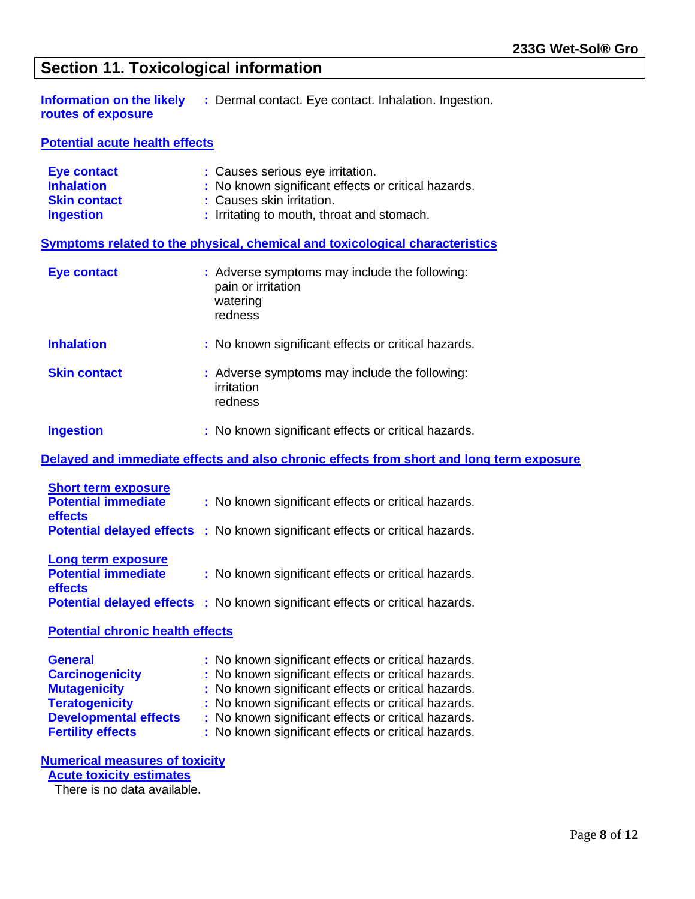### **Section 11. Toxicological information**

**: Dermal contact. Eye contact. Inhalation. Ingestion. Information on the likely<br>routes of exposure** 

**Potential acute health effects**

| <b>Eye contact</b>                                                  | : Causes serious eye irritation.                                                           |  |  |
|---------------------------------------------------------------------|--------------------------------------------------------------------------------------------|--|--|
| <b>Inhalation</b>                                                   | : No known significant effects or critical hazards.                                        |  |  |
| <b>Skin contact</b>                                                 | : Causes skin irritation.                                                                  |  |  |
| <b>Ingestion</b>                                                    | : Irritating to mouth, throat and stomach.                                                 |  |  |
|                                                                     | <b>Symptoms related to the physical, chemical and toxicological characteristics</b>        |  |  |
| <b>Eye contact</b>                                                  | : Adverse symptoms may include the following:<br>pain or irritation<br>watering<br>redness |  |  |
| <b>Inhalation</b>                                                   | : No known significant effects or critical hazards.                                        |  |  |
| <b>Skin contact</b>                                                 | : Adverse symptoms may include the following:<br>irritation<br>redness                     |  |  |
| <b>Ingestion</b>                                                    | : No known significant effects or critical hazards.                                        |  |  |
|                                                                     | Delayed and immediate effects and also chronic effects from short and long term exposure   |  |  |
| <b>Short term exposure</b><br><b>Potential immediate</b><br>effects | : No known significant effects or critical hazards.                                        |  |  |
|                                                                     | <b>Potential delayed effects</b> : No known significant effects or critical hazards.       |  |  |
| <b>Long term exposure</b><br><b>Potential immediate</b><br>effects  | : No known significant effects or critical hazards.                                        |  |  |
|                                                                     | <b>Potential delayed effects</b> : No known significant effects or critical hazards.       |  |  |
| <b>Potential chronic health effects</b>                             |                                                                                            |  |  |
| <b>General</b>                                                      | : No known significant effects or critical hazards.                                        |  |  |
| <b>Carcinogenicity</b>                                              | : No known significant effects or critical hazards.                                        |  |  |
| <b>Mutagenicity</b>                                                 | No known significant effects or critical hazards.                                          |  |  |
| <b>Teratogenicity</b>                                               | No known significant effects or critical hazards.                                          |  |  |
| <b>Developmental effects</b>                                        | No known significant effects or critical hazards.                                          |  |  |
| <b>Fertility effects</b>                                            | : No known significant effects or critical hazards.                                        |  |  |
| <b>Numerical measures of toxicity</b>                               |                                                                                            |  |  |

 **Acute toxicity estimates**

There is no data available.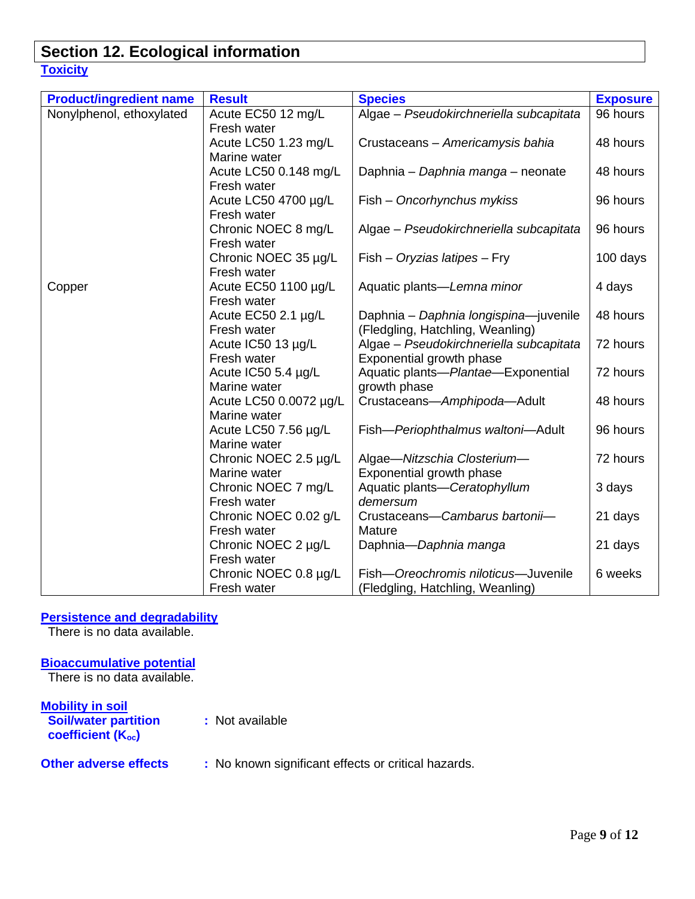### **Section 12. Ecological information Toxicity**

| <b>Product/ingredient name</b> | <b>Result</b>                       | <b>Species</b>                                                 | <b>Exposure</b> |
|--------------------------------|-------------------------------------|----------------------------------------------------------------|-----------------|
| Nonylphenol, ethoxylated       | Acute EC50 12 mg/L                  | Algae - Pseudokirchneriella subcapitata                        | 96 hours        |
|                                | Fresh water                         |                                                                |                 |
|                                | Acute LC50 1.23 mg/L                | Crustaceans - Americamysis bahia                               | 48 hours        |
|                                | Marine water                        |                                                                |                 |
|                                | Acute LC50 0.148 mg/L               | Daphnia - Daphnia manga - neonate                              | 48 hours        |
|                                | Fresh water                         |                                                                |                 |
|                                | Acute LC50 4700 µg/L                | Fish - Oncorhynchus mykiss                                     | 96 hours        |
|                                | Fresh water                         |                                                                |                 |
|                                | Chronic NOEC 8 mg/L                 | Algae - Pseudokirchneriella subcapitata                        | 96 hours        |
|                                | Fresh water                         |                                                                |                 |
|                                | Chronic NOEC 35 µg/L                | $Fish - Oryzias latipes - Fry$                                 | 100 days        |
|                                | Fresh water                         |                                                                |                 |
| Copper                         | Acute EC50 1100 µg/L                | Aquatic plants—Lemna minor                                     | 4 days          |
|                                | Fresh water                         |                                                                |                 |
|                                | Acute EC50 2.1 µg/L                 | Daphnia - Daphnia longispina-juvenile                          | 48 hours        |
|                                | Fresh water                         | (Fledgling, Hatchling, Weanling)                               |                 |
|                                | Acute IC50 13 µg/L<br>Fresh water   | Algae - Pseudokirchneriella subcapitata                        | 72 hours        |
|                                |                                     | Exponential growth phase<br>Aquatic plants-Plantae-Exponential | 72 hours        |
|                                | Acute IC50 5.4 µg/L<br>Marine water | growth phase                                                   |                 |
|                                | Acute LC50 0.0072 µg/L              | Crustaceans-Amphipoda-Adult                                    | 48 hours        |
|                                | Marine water                        |                                                                |                 |
|                                | Acute LC50 7.56 µg/L                | Fish-Periophthalmus waltoni-Adult                              | 96 hours        |
|                                | Marine water                        |                                                                |                 |
|                                | Chronic NOEC 2.5 µg/L               | Algae-Nitzschia Closterium-                                    | 72 hours        |
|                                | Marine water                        | Exponential growth phase                                       |                 |
|                                | Chronic NOEC 7 mg/L                 | Aquatic plants-Ceratophyllum                                   | 3 days          |
|                                | Fresh water                         | demersum                                                       |                 |
|                                | Chronic NOEC 0.02 g/L               | Crustaceans-Cambarus bartonii-                                 | 21 days         |
|                                | Fresh water                         | Mature                                                         |                 |
|                                | Chronic NOEC 2 µg/L                 | Daphnia-Daphnia manga                                          | 21 days         |
|                                | Fresh water                         |                                                                |                 |
|                                | Chronic NOEC 0.8 µg/L               | Fish-Oreochromis niloticus-Juvenile                            | 6 weeks         |
|                                | Fresh water                         | (Fledgling, Hatchling, Weanling)                               |                 |

#### **Persistence and degradability**

There is no data available.

#### **Bioaccumulative potential**

There is no data available.

**Mobility in soil Soil/water partition :** Not available **coefficient (Koc)**

### **Other adverse effects** : No known significant effects or critical hazards.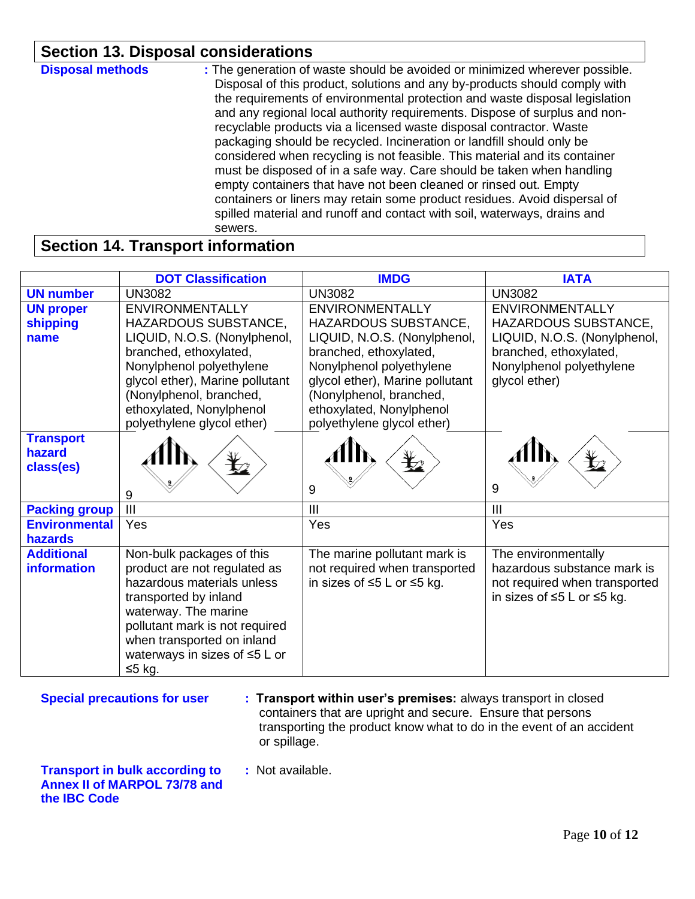### **Section 13. Disposal considerations**

| <b>Disposal methods</b> | : The generation of waste should be avoided or minimized wherever possible.<br>Disposal of this product, solutions and any by-products should comply with<br>the requirements of environmental protection and waste disposal legislation<br>and any regional local authority requirements. Dispose of surplus and non-<br>recyclable products via a licensed waste disposal contractor. Waste<br>packaging should be recycled. Incineration or landfill should only be<br>considered when recycling is not feasible. This material and its container<br>must be disposed of in a safe way. Care should be taken when handling<br>empty containers that have not been cleaned or rinsed out. Empty<br>containers or liners may retain some product residues. Avoid dispersal of<br>spilled material and runoff and contact with soil, waterways, drains and<br>sewers. |
|-------------------------|-----------------------------------------------------------------------------------------------------------------------------------------------------------------------------------------------------------------------------------------------------------------------------------------------------------------------------------------------------------------------------------------------------------------------------------------------------------------------------------------------------------------------------------------------------------------------------------------------------------------------------------------------------------------------------------------------------------------------------------------------------------------------------------------------------------------------------------------------------------------------|
|-------------------------|-----------------------------------------------------------------------------------------------------------------------------------------------------------------------------------------------------------------------------------------------------------------------------------------------------------------------------------------------------------------------------------------------------------------------------------------------------------------------------------------------------------------------------------------------------------------------------------------------------------------------------------------------------------------------------------------------------------------------------------------------------------------------------------------------------------------------------------------------------------------------|

### **Section 14. Transport information**

|                                         | <b>DOT Classification</b>                                                                                                                                                                                                                                    | <b>IMDG</b>                                                                                                                                                                                                                                                  | <b>IATA</b>                                                                                                                                           |
|-----------------------------------------|--------------------------------------------------------------------------------------------------------------------------------------------------------------------------------------------------------------------------------------------------------------|--------------------------------------------------------------------------------------------------------------------------------------------------------------------------------------------------------------------------------------------------------------|-------------------------------------------------------------------------------------------------------------------------------------------------------|
| <b>UN number</b>                        | <b>UN3082</b>                                                                                                                                                                                                                                                | <b>UN3082</b>                                                                                                                                                                                                                                                | <b>UN3082</b>                                                                                                                                         |
| <b>UN proper</b><br>shipping<br>name    | <b>ENVIRONMENTALLY</b><br>HAZARDOUS SUBSTANCE,<br>LIQUID, N.O.S. (Nonylphenol,<br>branched, ethoxylated,<br>Nonylphenol polyethylene<br>glycol ether), Marine pollutant<br>(Nonylphenol, branched,<br>ethoxylated, Nonylphenol<br>polyethylene glycol ether) | <b>ENVIRONMENTALLY</b><br>HAZARDOUS SUBSTANCE,<br>LIQUID, N.O.S. (Nonylphenol,<br>branched, ethoxylated,<br>Nonylphenol polyethylene<br>glycol ether), Marine pollutant<br>(Nonylphenol, branched,<br>ethoxylated, Nonylphenol<br>polyethylene glycol ether) | <b>ENVIRONMENTALLY</b><br>HAZARDOUS SUBSTANCE,<br>LIQUID, N.O.S. (Nonylphenol,<br>branched, ethoxylated,<br>Nonylphenol polyethylene<br>glycol ether) |
| <b>Transport</b><br>hazard<br>class(es) | 9                                                                                                                                                                                                                                                            | 9                                                                                                                                                                                                                                                            | 9                                                                                                                                                     |
| <b>Packing group</b>                    | III                                                                                                                                                                                                                                                          | III                                                                                                                                                                                                                                                          | $\mathbf{III}$                                                                                                                                        |
| <b>Environmental</b><br>hazards         | Yes                                                                                                                                                                                                                                                          | Yes                                                                                                                                                                                                                                                          | Yes                                                                                                                                                   |
| <b>Additional</b><br>information        | Non-bulk packages of this<br>product are not regulated as<br>hazardous materials unless<br>transported by inland<br>waterway. The marine<br>pollutant mark is not required<br>when transported on inland<br>waterways in sizes of $\leq 5$ L or<br>$≤5$ kg.  | The marine pollutant mark is<br>not required when transported<br>in sizes of ≤5 L or ≤5 kg.                                                                                                                                                                  | The environmentally<br>hazardous substance mark is<br>not required when transported<br>in sizes of ≤5 L or ≤5 kg.                                     |

**Special precautions for user : Transport within user's premises:** always transport in closed containers that are upright and secure. Ensure that persons transporting the product know what to do in the event of an accident or spillage.

**Transport in bulk according to :** Not available. **Annex II of MARPOL 73/78 and the IBC Code**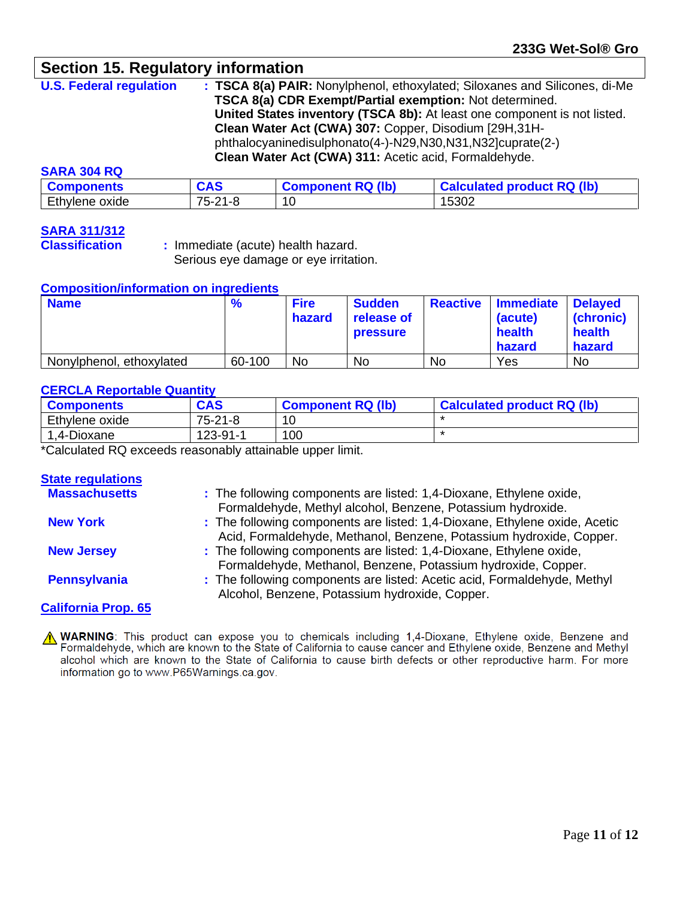### **Section 15. Regulatory information**

**U.S. Federal regulation : TSCA 8(a) PAIR:** Nonylphenol, ethoxylated; Siloxanes and Silicones, di-Me **TSCA 8(a) CDR Exempt/Partial exemption:** Not determined. **United States inventory (TSCA 8b):** At least one component is not listed. **Clean Water Act (CWA) 307:** Copper, Disodium [29H,31H phthalocyaninedisulphonato(4-)-N29,N30,N31,N32]cuprate(2-) **Clean Water Act (CWA) 311:** Acetic acid, Formaldehyde.

#### **SARA 304 RQ**

| <b>Components</b> | <b>CAS</b>      | <b>Component RQ (lb)</b> | <b>Calculated product RQ (lb)</b> |
|-------------------|-----------------|--------------------------|-----------------------------------|
| Ethylene oxide    | $75 -$<br>-21-8 | л<br>՝ ∪                 | 15302                             |

# **SARA 311/312**

**Classification :** Immediate (acute) health hazard. Serious eye damage or eye irritation.

#### **Composition/information on ingredients**

| <b>Name</b>              | $\frac{9}{6}$ | <b>Fire</b><br>hazard | <b>Sudden</b><br>release of<br><b>pressure</b> | <b>Reactive</b> | <b>Immediate</b><br>(acute)<br>health<br>hazard | <b>Delayed</b><br>(chronic)<br>health<br>hazard |
|--------------------------|---------------|-----------------------|------------------------------------------------|-----------------|-------------------------------------------------|-------------------------------------------------|
| Nonylphenol, ethoxylated | 60-100        | <b>No</b>             | No                                             | <b>No</b>       | Yes                                             | <b>No</b>                                       |

#### **CERCLA Reportable Quantity**

| <b>Components</b> | <b>CAS</b> | <b>Component RQ (lb)</b> | <b>Calculated product RQ (lb)</b> |
|-------------------|------------|--------------------------|-----------------------------------|
| Ethylene oxide    | 75-21-8    | 1 $\cap$                 |                                   |
| ,4-Dioxane        | 123-91-    | 100                      |                                   |

\*Calculated RQ exceeds reasonably attainable upper limit.

#### **State regulations**

| <b>Massachusetts</b>       | : The following components are listed: 1,4-Dioxane, Ethylene oxide,<br>Formaldehyde, Methyl alcohol, Benzene, Potassium hydroxide.                |
|----------------------------|---------------------------------------------------------------------------------------------------------------------------------------------------|
| <b>New York</b>            | : The following components are listed: 1,4-Dioxane, Ethylene oxide, Acetic<br>Acid, Formaldehyde, Methanol, Benzene, Potassium hydroxide, Copper. |
| <b>New Jersey</b>          | : The following components are listed: 1,4-Dioxane, Ethylene oxide,<br>Formaldehyde, Methanol, Benzene, Potassium hydroxide, Copper.              |
| <b>Pennsylvania</b>        | : The following components are listed: Acetic acid, Formaldehyde, Methyl<br>Alcohol, Benzene, Potassium hydroxide, Copper.                        |
| <b>California Prop. 65</b> |                                                                                                                                                   |

A WARNING: This product can expose you to chemicals including 1,4-Dioxane, Ethylene oxide, Benzene and Formaldehyde, which are known to the State of California to cause cancer and Ethylene oxide, Benzene and Methyl alcohol which are known to the State of California to cause birth defects or other reproductive harm. For more information go to www.P65Warnings.ca.gov.